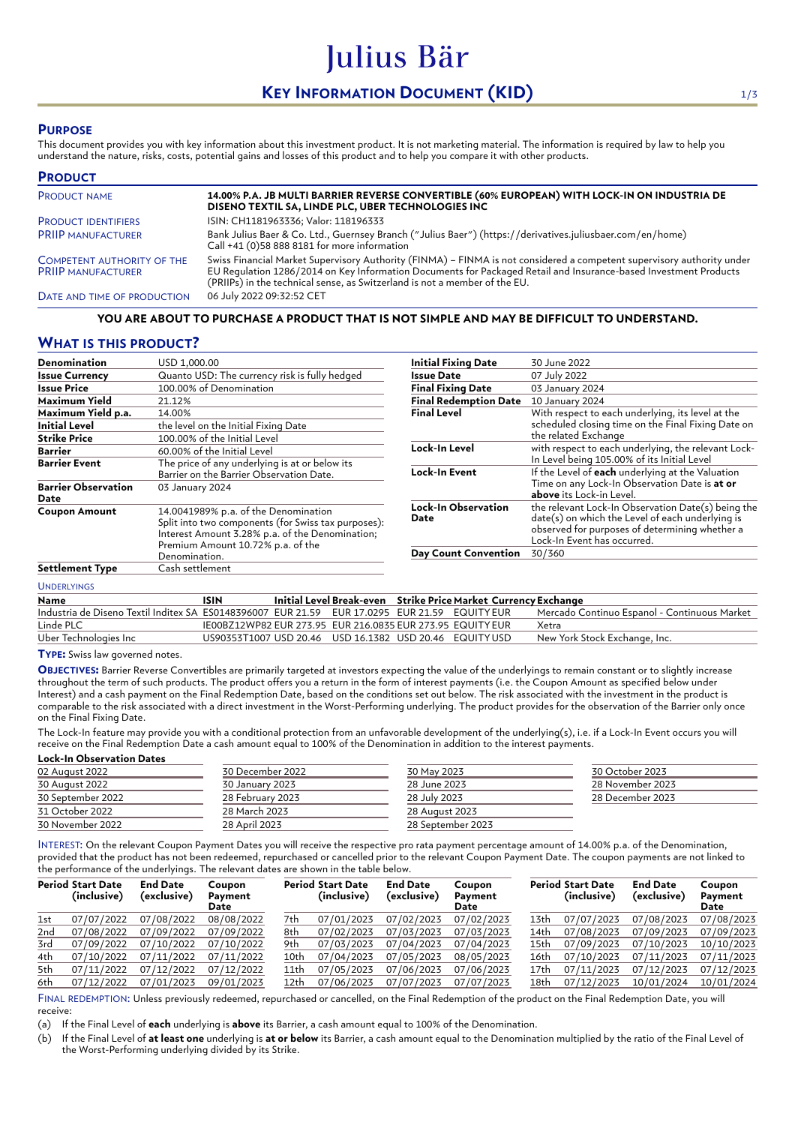# **KEY INFORMATION DOCUMENT (KID)** 1/3

Julius Bär

### **PURPOSE**

This document provides you with key information about this investment product. It is not marketing material. The information is required by law to help you understand the nature, risks, costs, potential gains and losses of this product and to help you compare it with other products.

| <b>PRODUCT</b>                                                 |                                                                                                                                                                                                                                                                                                                          |
|----------------------------------------------------------------|--------------------------------------------------------------------------------------------------------------------------------------------------------------------------------------------------------------------------------------------------------------------------------------------------------------------------|
| <b>PRODUCT NAME</b>                                            | 14.00% P.A. JB MULTI BARRIER REVERSE CONVERTIBLE (60% EUROPEAN) WITH LOCK-IN ON INDUSTRIA DE<br>DISENO TEXTIL SA, LINDE PLC, UBER TECHNOLOGIES INC                                                                                                                                                                       |
| <b>PRODUCT IDENTIFIERS</b>                                     | ISIN: CH1181963336; Valor: 118196333                                                                                                                                                                                                                                                                                     |
| <b>PRIIP MANUFACTURER</b>                                      | Bank Julius Baer & Co. Ltd., Guernsey Branch ("Julius Baer") (https://derivatives.juliusbaer.com/en/home)<br>Call +41 (0)58 888 8181 for more information                                                                                                                                                                |
| <b>COMPETENT AUTHORITY OF THE</b><br><b>PRIIP MANUFACTURER</b> | Swiss Financial Market Supervisory Authority (FINMA) - FINMA is not considered a competent supervisory authority under<br>EU Regulation 1286/2014 on Key Information Documents for Packaged Retail and Insurance-based Investment Products<br>(PRIIPs) in the technical sense, as Switzerland is not a member of the EU. |
| DATE AND TIME OF PRODUCTION                                    | 06 July 2022 09:32:52 CET                                                                                                                                                                                                                                                                                                |

#### **YOU ARE ABOUT TO PURCHASE A PRODUCT THAT IS NOT SIMPLE AND MAY BE DIFFICULT TO UNDERSTAND.**

## **WHAT IS THIS PRODUCT?**

| <b>Denomination</b>                | USD 1,000.00                                                                                                                                                                        | <b>Initial Fixing Date</b>   | 30 June 2022                                                                                                                                                                            |
|------------------------------------|-------------------------------------------------------------------------------------------------------------------------------------------------------------------------------------|------------------------------|-----------------------------------------------------------------------------------------------------------------------------------------------------------------------------------------|
| <b>Issue Currency</b>              | Quanto USD: The currency risk is fully hedged                                                                                                                                       | Issue Date                   | 07 July 2022                                                                                                                                                                            |
| <b>Issue Price</b>                 | 100.00% of Denomination                                                                                                                                                             | <b>Final Fixing Date</b>     | 03 January 2024                                                                                                                                                                         |
| Maximum Yield                      | 21.12%                                                                                                                                                                              | <b>Final Redemption Date</b> | 10 January 2024                                                                                                                                                                         |
| Maximum Yield p.a.                 | 14.00%                                                                                                                                                                              | <b>Final Level</b>           | With respect to each underlying, its level at the                                                                                                                                       |
| <b>Initial Level</b>               | the level on the Initial Fixing Date                                                                                                                                                |                              | scheduled closing time on the Final Fixing Date on                                                                                                                                      |
| <b>Strike Price</b>                | 100.00% of the Initial Level                                                                                                                                                        |                              | the related Exchange                                                                                                                                                                    |
| <b>Barrier</b>                     | 60.00% of the Initial Level                                                                                                                                                         | Lock-In Level                | with respect to each underlying, the relevant Lock-                                                                                                                                     |
| <b>Barrier Event</b>               | The price of any underlying is at or below its                                                                                                                                      |                              | In Level being 105.00% of its Initial Level                                                                                                                                             |
|                                    | Barrier on the Barrier Observation Date.                                                                                                                                            | Lock-In Event                | If the Level of each underlying at the Valuation                                                                                                                                        |
| <b>Barrier Observation</b><br>Date | 03 January 2024                                                                                                                                                                     |                              | Time on any Lock-In Observation Date is at or<br>above its Lock-in Level.                                                                                                               |
| <b>Coupon Amount</b>               | 14.0041989% p.a. of the Denomination<br>Split into two components (for Swiss tax purposes):<br>Interest Amount 3.28% p.a. of the Denomination;<br>Premium Amount 10.72% p.a. of the | Lock-In Observation<br>Date  | the relevant Lock-In Observation Date(s) being the<br>date(s) on which the Level of each underlying is<br>observed for purposes of determining whether a<br>Lock-In Event has occurred. |
|                                    | Denomination.                                                                                                                                                                       | <b>Day Count Convention</b>  | 30/360                                                                                                                                                                                  |
| <b>Settlement Type</b>             | Cash settlement                                                                                                                                                                     |                              |                                                                                                                                                                                         |
|                                    |                                                                                                                                                                                     |                              |                                                                                                                                                                                         |

|  | <b>UNDERLYINGS</b> |  |  |  |
|--|--------------------|--|--|--|
|  |                    |  |  |  |

| Name                                                                                         | ISIN                                                       |  | Initial Level Break-even Strike Price Market Currency Exchange |                                              |
|----------------------------------------------------------------------------------------------|------------------------------------------------------------|--|----------------------------------------------------------------|----------------------------------------------|
| Industria de Diseno Textil Inditex SA ES0148396007 EUR 21.59 EUR 17.0295 EUR 21.59 EQUITYEUR |                                                            |  |                                                                | Mercado Continuo Espanol - Continuous Market |
| Linde PLC                                                                                    | IE00BZ12WP82 EUR 273.95 EUR 216.0835 EUR 273.95 EQUITY EUR |  |                                                                | Xetra                                        |
| Uber Technologies Inc                                                                        | US90353T1007 USD 20.46 USD 16.1382 USD 20.46 EQUITYUSD     |  |                                                                | New York Stock Exchange, Inc.                |
|                                                                                              |                                                            |  |                                                                |                                              |

**TYPE:** Swiss law governed notes.

**OBJECTIVES:** Barrier Reverse Convertibles are primarily targeted at investors expecting the value of the underlyings to remain constant or to slightly increase throughout the term of such products. The product offers you a return in the form of interest payments (i.e. the Coupon Amount as specified below under Interest) and a cash payment on the Final Redemption Date, based on the conditions set out below. The risk associated with the investment in the product is comparable to the risk associated with a direct investment in the Worst-Performing underlying. The product provides for the observation of the Barrier only once on the Final Fixing Date.

The Lock-In feature may provide you with a conditional protection from an unfavorable development of the underlying(s), i.e. if a Lock-In Event occurs you will receive on the Final Redemption Date a cash amount equal to 100% of the Denomination in addition to the interest payments. **Lock-In Observation Dates**

| 30 December 2022 | 30 May 2023       | 30 October 2023  |  |
|------------------|-------------------|------------------|--|
| 30 January 2023  | 28 June 2023      | 28 November 2023 |  |
| 28 February 2023 | 28 July 2023      | 28 December 2023 |  |
| 28 March 2023    | 28 August 2023    |                  |  |
| 28 April 2023    | 28 September 2023 |                  |  |
|                  |                   |                  |  |

INTEREST: On the relevant Coupon Payment Dates you will receive the respective pro rata payment percentage amount of 14.00% p.a. of the Denomination, provided that the product has not been redeemed, repurchased or cancelled prior to the relevant Coupon Payment Date. The coupon payments are not linked to the performance of the underlyings. The relevant dates are shown in the table below.

|     | <b>Period Start Date</b><br>(inclusive) | <b>End Date</b><br>(exclusive) | Coupon<br>Payment<br>Date |      | <b>Period Start Date</b><br>(inclusive) | <b>End Date</b><br>(exclusive) | Coupon<br>Payment<br>Date |      | <b>Period Start Date</b><br>(inclusive) | <b>End Date</b><br>(exclusive) | Coupon<br>Payment<br>Date |
|-----|-----------------------------------------|--------------------------------|---------------------------|------|-----------------------------------------|--------------------------------|---------------------------|------|-----------------------------------------|--------------------------------|---------------------------|
| 1st | 07/07/2022                              | 07/08/2022                     | 08/08/2022                | 7th  | 07/01/2023                              | 07/02/2023                     | 07/02/2023                | 13th | 07/07/2023                              | 07/08/2023                     | 07/08/2023                |
| 2nd | 07/08/2022                              | 07/09/2022                     | 07/09/2022                | 8th  | 07/02/2023                              | 07/03/2023                     | 07/03/2023                | 14th | 07/08/2023                              | 07/09/2023                     | 07/09/2023                |
| 3rd | 07/09/2022                              | 07/10/2022                     | 07/10/2022                | 9th  | 07/03/2023                              | 07/04/2023                     | 07/04/2023                | 15th | 07/09/2023                              | 07/10/2023                     | 10/10/2023                |
| 4th | 07/10/2022                              | 07/11/2022                     | 07/11/2022                | 10th | 07/04/2023                              | 07/05/2023                     | 08/05/2023                | 16th | 07/10/2023                              | 07/11/2023                     | 07/11/2023                |
| 5th | 07/11/2022                              | 07/12/2022                     | 07/12/2022                | 11th | 07/05/2023                              | 07/06/2023                     | 07/06/2023                | 17th | 07/11/2023                              | 07/12/2023                     | 07/12/2023                |
| 6th | 07/12/2022                              | 07/01/2023                     | 09/01/2023                | 12th | 07/06/2023                              | 07/07/2023                     | 07/07/2023                | 18th | 07/12/2023                              | 10/01/2024                     | 10/01/2024                |

FINAL REDEMPTION: Unless previously redeemed, repurchased or cancelled, on the Final Redemption of the product on the Final Redemption Date, you will receive:

(a) If the Final Level of **each** underlying is **above** its Barrier, a cash amount equal to 100% of the Denomination.

(b) If the Final Level of **at least one** underlying is **at or below** its Barrier, a cash amount equal to the Denomination multiplied by the ratio of the Final Level of the Worst-Performing underlying divided by its Strike.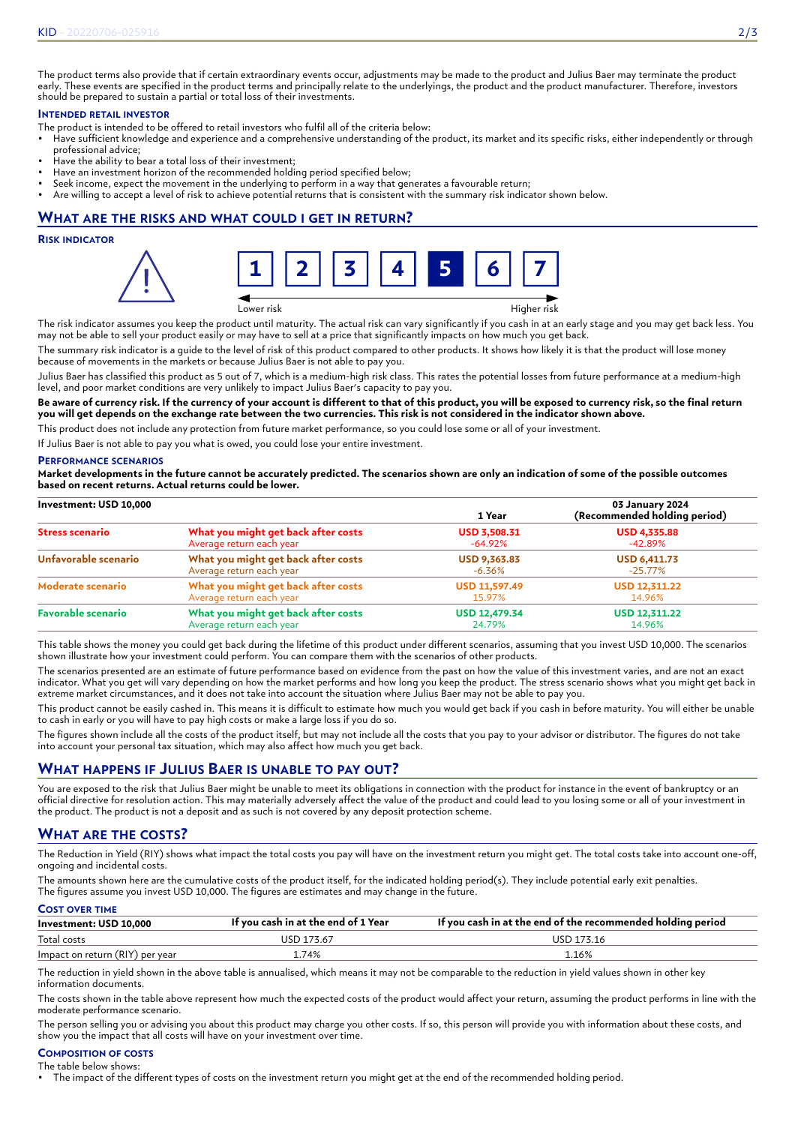The product terms also provide that if certain extraordinary events occur, adjustments may be made to the product and Julius Baer may terminate the product early. These events are specified in the product terms and principally relate to the underlyings, the product and the product manufacturer. Therefore, investors should be prepared to sustain a partial or total loss of their investments.

# **INTENDED RETAIL INVESTOR**

- The product is intended to be offered to retail investors who fulfil all of the criteria below:
- Have sufficient knowledge and experience and a comprehensive understanding of the product, its market and its specific risks, either independently or through professional advice;
- Have the ability to bear a total loss of their investment;
- Have an investment horizon of the recommended holding period specified below;
- Seek income, expect the movement in the underlying to perform in a way that generates a favourable return; • Are willing to accept a level of risk to achieve potential returns that is consistent with the summary risk indicator shown below.

# **WHAT ARE THE RISKS AND WHAT COULD I GET IN RETURN?**

### **RISK INDICATOR**



Lower risk Higher risk

The risk indicator assumes you keep the product until maturity. The actual risk can vary significantly if you cash in at an early stage and you may get back less. You may not be able to sell your product easily or may have to sell at a price that significantly impacts on how much you get back.

The summary risk indicator is a guide to the level of risk of this product compared to other products. It shows how likely it is that the product will lose money because of movements in the markets or because Julius Baer is not able to pay you.

Julius Baer has classified this product as 5 out of 7, which is a medium-high risk class. This rates the potential losses from future performance at a medium-high level, and poor market conditions are very unlikely to impact Julius Baer's capacity to pay you.

**Be aware of currency risk. If the currency of your account is different to that of this product, you will be exposed to currency risk, so the final return you will get depends on the exchange rate between the two currencies. This risk is not considered in the indicator shown above.**

This product does not include any protection from future market performance, so you could lose some or all of your investment.

If Julius Baer is not able to pay you what is owed, you could lose your entire investment.

#### **PERFORMANCE SCENARIOS**

**Market developments in the future cannot be accurately predicted. The scenarios shown are only an indication of some of the possible outcomes based on recent returns. Actual returns could be lower.**

| Investment: USD 10,000    |                                     | 1 Year               | 03 January 2024<br>(Recommended holding period) |
|---------------------------|-------------------------------------|----------------------|-------------------------------------------------|
| <b>Stress scenario</b>    | What you might get back after costs | <b>USD 3,508.31</b>  | <b>USD 4,335.88</b>                             |
|                           | Average return each year            | $-64.92\%$           | -42.89%                                         |
| Unfavorable scenario      | What you might get back after costs | <b>USD 9,363.83</b>  | <b>USD 6,411.73</b>                             |
|                           | Average return each year            | -6.36%               | -25.77%                                         |
| Moderate scenario         | What you might get back after costs | <b>USD 11,597.49</b> | <b>USD 12,311.22</b>                            |
|                           | Average return each year            | 15.97%               | 14.96%                                          |
| <b>Favorable scenario</b> | What you might get back after costs | <b>USD 12,479.34</b> | <b>USD 12,311.22</b>                            |
|                           | Average return each year            | 24.79%               | 14.96%                                          |

This table shows the money you could get back during the lifetime of this product under different scenarios, assuming that you invest USD 10,000. The scenarios shown illustrate how your investment could perform. You can compare them with the scenarios of other products.

The scenarios presented are an estimate of future performance based on evidence from the past on how the value of this investment varies, and are not an exact indicator. What you get will vary depending on how the market performs and how long you keep the product. The stress scenario shows what you might get back in extreme market circumstances, and it does not take into account the situation where Julius Baer may not be able to pay you.

This product cannot be easily cashed in. This means it is difficult to estimate how much you would get back if you cash in before maturity. You will either be unable to cash in early or you will have to pay high costs or make a large loss if you do so.

The figures shown include all the costs of the product itself, but may not include all the costs that you pay to your advisor or distributor. The figures do not take into account your personal tax situation, which may also affect how much you get back.

# **WHAT HAPPENS IF JULIUS BAER IS UNABLE TO PAY OUT?**

You are exposed to the risk that Julius Baer might be unable to meet its obligations in connection with the product for instance in the event of bankruptcy or an official directive for resolution action. This may materially adversely affect the value of the product and could lead to you losing some or all of your investment in the product. The product is not a deposit and as such is not covered by any deposit protection scheme.

# **WHAT ARE THE COSTS?**

The Reduction in Yield (RIY) shows what impact the total costs you pay will have on the investment return you might get. The total costs take into account one-off, ongoing and incidental costs.

The amounts shown here are the cumulative costs of the product itself, for the indicated holding period(s). They include potential early exit penalties. The figures assume you invest USD 10,000. The figures are estimates and may change in the future.

### **COST OVER TIME**

| Investment: USD 10,000          | If you cash in at the end of 1 Year | If you cash in at the end of the recommended holding period |
|---------------------------------|-------------------------------------|-------------------------------------------------------------|
| Total costs                     | USD 173.67                          | USD 173.16                                                  |
| Impact on return (RIY) per year | .74%                                | 1.16%                                                       |

The reduction in yield shown in the above table is annualised, which means it may not be comparable to the reduction in yield values shown in other key information documents.

The costs shown in the table above represent how much the expected costs of the product would affect your return, assuming the product performs in line with the moderate performance scenario.

The person selling you or advising you about this product may charge you other costs. If so, this person will provide you with information about these costs, and show you the impact that all costs will have on your investment over time.

#### **COMPOSITION OF COSTS** The table below shows:

• The impact of the different types of costs on the investment return you might get at the end of the recommended holding period.